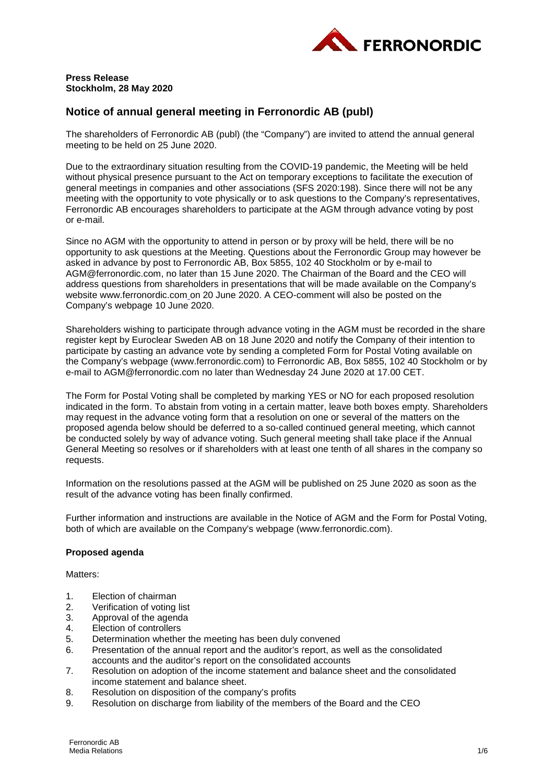

# **Press Release Stockholm, 28 May 2020**

# **Notice of annual general meeting in Ferronordic AB (publ)**

The shareholders of Ferronordic AB (publ) (the "Company") are invited to attend the annual general meeting to be held on 25 June 2020.

Due to the extraordinary situation resulting from the COVID-19 pandemic, the Meeting will be held without physical presence pursuant to the Act on temporary exceptions to facilitate the execution of general meetings in companies and other associations (SFS 2020:198). Since there will not be any meeting with the opportunity to vote physically or to ask questions to the Company's representatives, Ferronordic AB encourages shareholders to participate at the AGM through advance voting by post or e-mail.

Since no AGM with the opportunity to attend in person or by proxy will be held, there will be no opportunity to ask questions at the Meeting. Questions about the Ferronordic Group may however be asked in advance by post to Ferronordic AB, Box 5855, 102 40 Stockholm or by e-mail to AGM@ferronordic.com, no later than 15 June 2020. The Chairman of the Board and the CEO will address questions from shareholders in presentations that will be made available on the Company's website www.ferronordic.com on 20 June 2020. A CEO-comment will also be posted on the Company's webpage 10 June 2020.

Shareholders wishing to participate through advance voting in the AGM must be recorded in the share register kept by Euroclear Sweden AB on 18 June 2020 and notify the Сompany of their intention to participate by casting an advance vote by sending a completed Form for Postal Voting available on the Company's webpage (www.ferronordic.com) to Ferronordic AB, Box 5855, 102 40 Stockholm or by e-mail to AGM@ferronordic.com no later than Wednesday 24 June 2020 at 17.00 CET.

The Form for Postal Voting shall be completed by marking YES or NO for each proposed resolution indicated in the form. To abstain from voting in a certain matter, leave both boxes empty. Shareholders may request in the advance voting form that a resolution on one or several of the matters on the proposed agenda below should be deferred to a so-called continued general meeting, which cannot be conducted solely by way of advance voting. Such general meeting shall take place if the Annual General Meeting so resolves or if shareholders with at least one tenth of all shares in the company so requests.

Information on the resolutions passed at the AGM will be published on 25 June 2020 as soon as the result of the advance voting has been finally confirmed.

Further information and instructions are available in the Notice of AGM and the Form for Postal Voting, both of which are available on the Company's webpage [\(www.ferronordic.com\)](http://www.ferronordic.com/).

# **Proposed agenda**

Matters:

- 1. Election of chairman
- 2. Verification of voting list
- 3. Approval of the agenda
- 4. Election of controllers
- 5. Determination whether the meeting has been duly convened
- 6. Presentation of the annual report and the auditor's report, as well as the consolidated accounts and the auditor's report on the consolidated accounts
- 7. Resolution on adoption of the income statement and balance sheet and the consolidated income statement and balance sheet.
- 8. Resolution on disposition of the company's profits<br>9. Resolution on discharge from liability of the memb
- Resolution on discharge from liability of the members of the Board and the CEO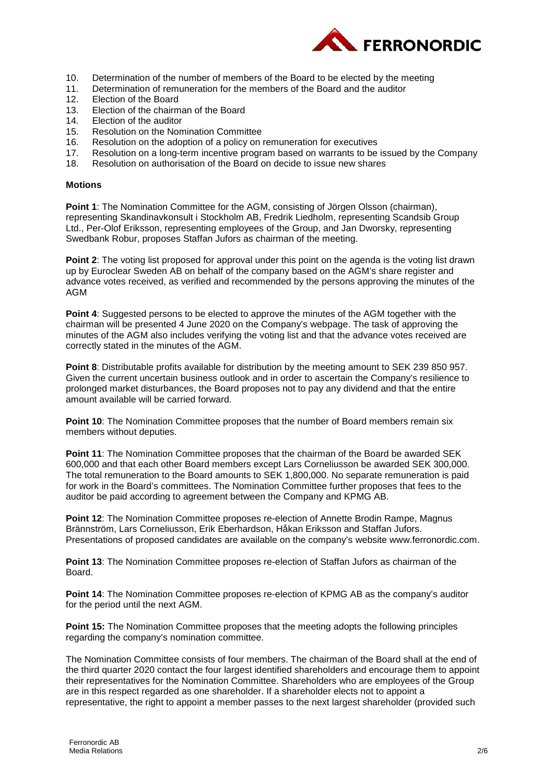

- 10. Determination of the number of members of the Board to be elected by the meeting
- 11. Determination of remuneration for the members of the Board and the auditor<br>12. Election of the Board
- 12. Election of the Board<br>13. Election of the chairm
- 13. Election of the chairman of the Board
- 14. Election of the auditor<br>15. Resolution on the Non
- Resolution on the Nomination Committee
- 16. Resolution on the adoption of a policy on remuneration for executives
- 17. Resolution on a long-term incentive program based on warrants to be issued by the Company
- 18. Resolution on authorisation of the Board on decide to issue new shares

# **Motions**

**Point 1**: The Nomination Committee for the AGM, consisting of Jörgen Olsson (chairman), representing Skandinavkonsult i Stockholm AB, Fredrik Liedholm, representing Scandsib Group Ltd., Per-Olof Eriksson, representing employees of the Group, and Jan Dworsky, representing Swedbank Robur, proposes Staffan Jufors as chairman of the meeting.

**Point 2:** The voting list proposed for approval under this point on the agenda is the voting list drawn up by Euroclear Sweden AB on behalf of the company based on the AGM's share register and advance votes received, as verified and recommended by the persons approving the minutes of the AGM

**Point 4:** Suggested persons to be elected to approve the minutes of the AGM together with the chairman will be presented 4 June 2020 on the Company's webpage. The task of approving the minutes of the AGM also includes verifying the voting list and that the advance votes received are correctly stated in the minutes of the AGM.

**Point 8**: Distributable profits available for distribution by the meeting amount to SEK 239 850 957. Given the current uncertain business outlook and in order to ascertain the Company's resilience to prolonged market disturbances, the Board proposes not to pay any dividend and that the entire amount available will be carried forward.

Point 10: The Nomination Committee proposes that the number of Board members remain six members without deputies.

**Point 11**: The Nomination Committee proposes that the chairman of the Board be awarded SEK 600,000 and that each other Board members except Lars Corneliusson be awarded SEK 300,000. The total remuneration to the Board amounts to SEK 1,800,000. No separate remuneration is paid for work in the Board's committees. The Nomination Committee further proposes that fees to the auditor be paid according to agreement between the Company and KPMG AB.

**Point 12**: The Nomination Committee proposes re-election of Annette Brodin Rampe, Magnus Brännström, Lars Corneliusson, Erik Eberhardson, Håkan Eriksson and Staffan Jufors. Presentations of proposed candidates are available on the company's website [www.ferronordic.com.](http://www.ferronordic.ru/)

**Point 13**: The Nomination Committee proposes re-election of Staffan Jufors as chairman of the Board.

**Point 14**: The Nomination Committee proposes re-election of KPMG AB as the company's auditor for the period until the next AGM.

**Point 15:** The Nomination Committee proposes that the meeting adopts the following principles regarding the company's nomination committee.

The Nomination Committee consists of four members. The chairman of the Board shall at the end of the third quarter 2020 contact the four largest identified shareholders and encourage them to appoint their representatives for the Nomination Committee. Shareholders who are employees of the Group are in this respect regarded as one shareholder. If a shareholder elects not to appoint a representative, the right to appoint a member passes to the next largest shareholder (provided such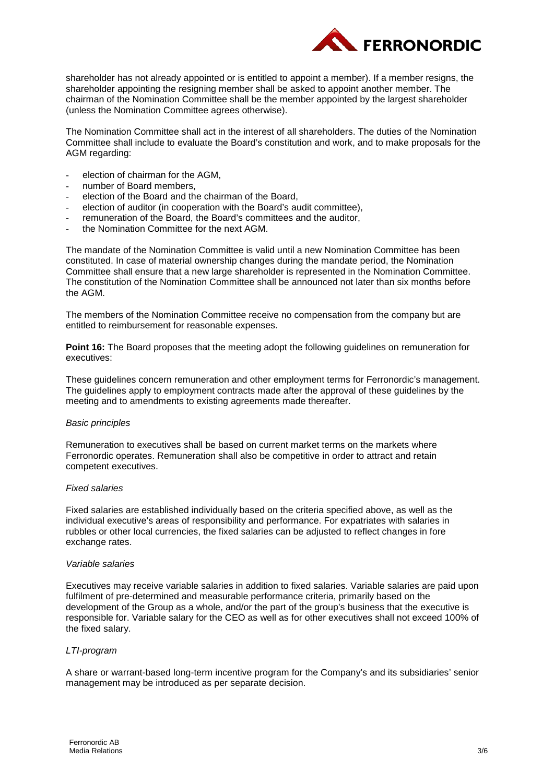

shareholder has not already appointed or is entitled to appoint a member). If a member resigns, the shareholder appointing the resigning member shall be asked to appoint another member. The chairman of the Nomination Committee shall be the member appointed by the largest shareholder (unless the Nomination Committee agrees otherwise).

The Nomination Committee shall act in the interest of all shareholders. The duties of the Nomination Committee shall include to evaluate the Board's constitution and work, and to make proposals for the AGM regarding:

- election of chairman for the AGM.
- number of Board members.
- election of the Board and the chairman of the Board,
- election of auditor (in cooperation with the Board's audit committee),
- remuneration of the Board, the Board's committees and the auditor,
- the Nomination Committee for the next AGM.

The mandate of the Nomination Committee is valid until a new Nomination Committee has been constituted. In case of material ownership changes during the mandate period, the Nomination Committee shall ensure that a new large shareholder is represented in the Nomination Committee. The constitution of the Nomination Committee shall be announced not later than six months before the AGM.

The members of the Nomination Committee receive no compensation from the company but are entitled to reimbursement for reasonable expenses.

**Point 16:** The Board proposes that the meeting adopt the following guidelines on remuneration for executives:

These guidelines concern remuneration and other employment terms for Ferronordic's management. The guidelines apply to employment contracts made after the approval of these guidelines by the meeting and to amendments to existing agreements made thereafter.

#### *Basic principles*

Remuneration to executives shall be based on current market terms on the markets where Ferronordic operates. Remuneration shall also be competitive in order to attract and retain competent executives.

#### *Fixed salaries*

Fixed salaries are established individually based on the criteria specified above, as well as the individual executive's areas of responsibility and performance. For expatriates with salaries in rubbles or other local currencies, the fixed salaries can be adjusted to reflect changes in fore exchange rates.

#### *Variable salaries*

Executives may receive variable salaries in addition to fixed salaries. Variable salaries are paid upon fulfilment of pre-determined and measurable performance criteria, primarily based on the development of the Group as a whole, and/or the part of the group's business that the executive is responsible for. Variable salary for the CEO as well as for other executives shall not exceed 100% of the fixed salary.

### *LTI-program*

A share or warrant-based long-term incentive program for the Company's and its subsidiaries' senior management may be introduced as per separate decision.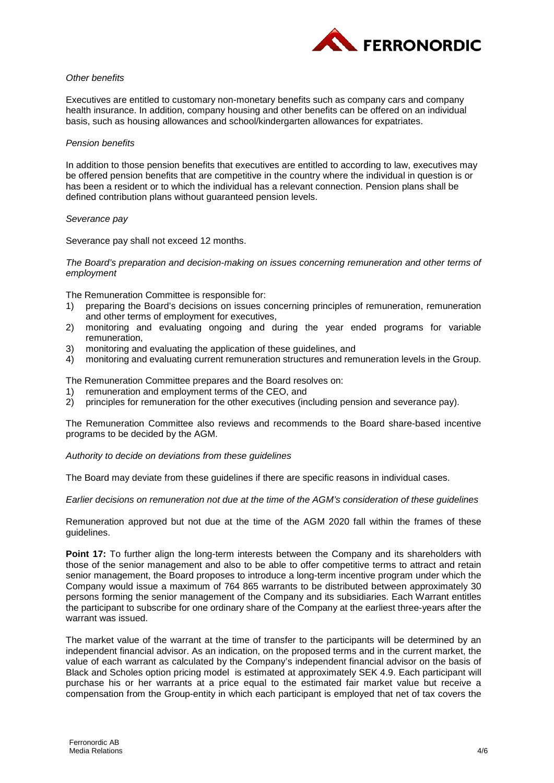

## *Other benefits*

Executives are entitled to customary non-monetary benefits such as company cars and company health insurance. In addition, company housing and other benefits can be offered on an individual basis, such as housing allowances and school/kindergarten allowances for expatriates.

### *Pension benefits*

In addition to those pension benefits that executives are entitled to according to law, executives may be offered pension benefits that are competitive in the country where the individual in question is or has been a resident or to which the individual has a relevant connection. Pension plans shall be defined contribution plans without guaranteed pension levels.

# *Severance pay*

Severance pay shall not exceed 12 months.

*The Board's preparation and decision-making on issues concerning remuneration and other terms of employment* 

The Remuneration Committee is responsible for:

- 1) preparing the Board's decisions on issues concerning principles of remuneration, remuneration and other terms of employment for executives,
- 2) monitoring and evaluating ongoing and during the year ended programs for variable remuneration,
- 3) monitoring and evaluating the application of these guidelines, and
- 4) monitoring and evaluating current remuneration structures and remuneration levels in the Group.

The Remuneration Committee prepares and the Board resolves on:

- 1) remuneration and employment terms of the CEO, and<br>2) principles for remuneration for the other executives (in
- 2) principles for remuneration for the other executives (including pension and severance pay).

The Remuneration Committee also reviews and recommends to the Board share-based incentive programs to be decided by the AGM.

*Authority to decide on deviations from these guidelines*

The Board may deviate from these guidelines if there are specific reasons in individual cases.

*Earlier decisions on remuneration not due at the time of the AGM's consideration of these guidelines*

Remuneration approved but not due at the time of the AGM 2020 fall within the frames of these guidelines.

Point 17: To further align the long-term interests between the Company and its shareholders with those of the senior management and also to be able to offer competitive terms to attract and retain senior management, the Board proposes to introduce a long-term incentive program under which the Company would issue a maximum of 764 865 warrants to be distributed between approximately 30 persons forming the senior management of the Company and its subsidiaries. Each Warrant entitles the participant to subscribe for one ordinary share of the Company at the earliest three-years after the warrant was issued.

The market value of the warrant at the time of transfer to the participants will be determined by an independent financial advisor. As an indication, on the proposed terms and in the current market, the value of each warrant as calculated by the Company's independent financial advisor on the basis of Black and Scholes option pricing model is estimated at approximately SEK 4.9. Each participant will purchase his or her warrants at a price equal to the estimated fair market value but receive a compensation from the Group-entity in which each participant is employed that net of tax covers the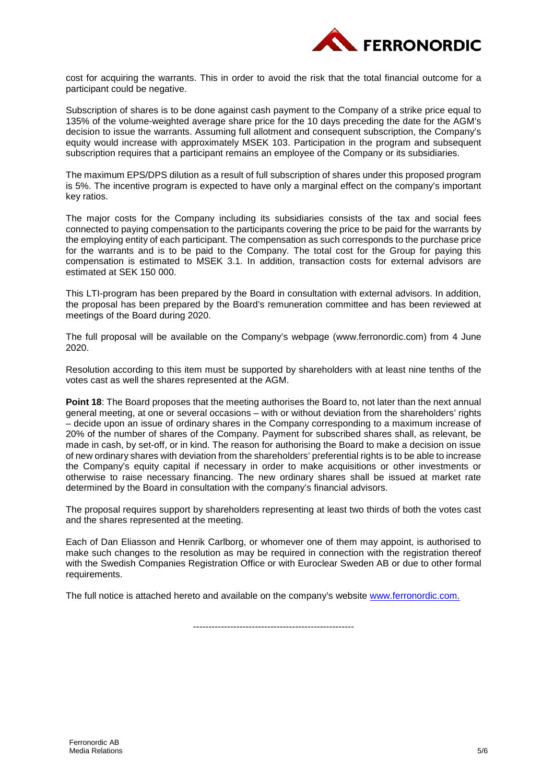

cost for acquiring the warrants. This in order to avoid the risk that the total financial outcome for a participant could be negative.

Subscription of shares is to be done against cash payment to the Company of a strike price equal to 135% of the volume-weighted average share price for the 10 days preceding the date for the AGM's decision to issue the warrants. Assuming full allotment and consequent subscription, the Company's equity would increase with approximately MSEK 103. Participation in the program and subsequent subscription requires that a participant remains an employee of the Company or its subsidiaries.

The maximum EPS/DPS dilution as a result of full subscription of shares under this proposed program is 5%. The incentive program is expected to have only a marginal effect on the company's important key ratios.

The major costs for the Company including its subsidiaries consists of the tax and social fees connected to paying compensation to the participants covering the price to be paid for the warrants by the employing entity of each participant. The compensation as such corresponds to the purchase price for the warrants and is to be paid to the Company. The total cost for the Group for paying this compensation is estimated to MSEK 3.1. In addition, transaction costs for external advisors are estimated at SEK 150 000.

This LTI-program has been prepared by the Board in consultation with external advisors. In addition, the proposal has been prepared by the Board's remuneration committee and has been reviewed at meetings of the Board during 2020.

The full proposal will be available on the Company's webpage (www.ferronordic.com) from 4 June 2020.

Resolution according to this item must be supported by shareholders with at least nine tenths of the votes cast as well the shares represented at the AGM.

**Point 18:** The Board proposes that the meeting authorises the Board to, not later than the next annual general meeting, at one or several occasions – with or without deviation from the shareholders' rights – decide upon an issue of ordinary shares in the Company corresponding to a maximum increase of 20% of the number of shares of the Company. Payment for subscribed shares shall, as relevant, be made in cash, by set-off, or in kind. The reason for authorising the Board to make a decision on issue of new ordinary shares with deviation from the shareholders' preferential rights is to be able to increase the Company's equity capital if necessary in order to make acquisitions or other investments or otherwise to raise necessary financing. The new ordinary shares shall be issued at market rate determined by the Board in consultation with the company's financial advisors.

The proposal requires support by shareholders representing at least two thirds of both the votes cast and the shares represented at the meeting.

Each of Dan Eliasson and Henrik Carlborg, or whomever one of them may appoint, is authorised to make such changes to the resolution as may be required in connection with the registration thereof with the Swedish Companies Registration Office or with Euroclear Sweden AB or due to other formal requirements.

The full notice is attached hereto and available on the company's website www.ferronordic.com.

----------------------------------------------------